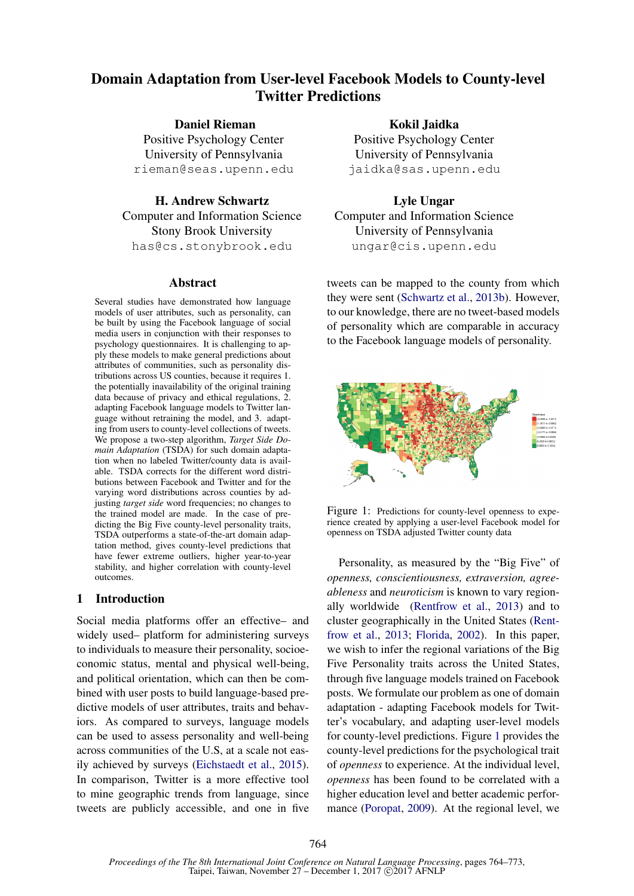# Domain Adaptation from User-level Facebook Models to County-level Twitter Predictions

Daniel Rieman

Positive Psychology Center University of Pennsylvania rieman@seas.upenn.edu

H. Andrew Schwartz Computer and Information Science Stony Brook University has@cs.stonybrook.edu

### Abstract

Several studies have demonstrated how language models of user attributes, such as personality, can be built by using the Facebook language of social media users in conjunction with their responses to psychology questionnaires. It is challenging to apply these models to make general predictions about attributes of communities, such as personality distributions across US counties, because it requires 1. the potentially inavailability of the original training data because of privacy and ethical regulations, 2. adapting Facebook language models to Twitter language without retraining the model, and 3. adapting from users to county-level collections of tweets. We propose a two-step algorithm, *Target Side Domain Adaptation* (TSDA) for such domain adaptation when no labeled Twitter/county data is available. TSDA corrects for the different word distributions between Facebook and Twitter and for the varying word distributions across counties by adjusting *target side* word frequencies; no changes to the trained model are made. In the case of predicting the Big Five county-level personality traits, TSDA outperforms a state-of-the-art domain adaptation method, gives county-level predictions that have fewer extreme outliers, higher year-to-year stability, and higher correlation with county-level outcomes.

# 1 Introduction

Social media platforms offer an effective– and widely used– platform for administering surveys to individuals to measure their personality, socioeconomic status, mental and physical well-being, and political orientation, which can then be combined with user posts to build language-based predictive models of user attributes, traits and behaviors. As compared to surveys, language models can be used to assess personality and well-being across communities of the U.S, at a scale not easily achieved by surveys (Eichstaedt et al., 2015). In comparison, Twitter is a more effective tool to mine geographic trends from language, since tweets are publicly accessible, and one in five

Kokil Jaidka Positive Psychology Center University of Pennsylvania jaidka@sas.upenn.edu

Lyle Ungar Computer and Information Science University of Pennsylvania ungar@cis.upenn.edu

tweets can be mapped to the county from which they were sent (Schwartz et al., 2013b). However, to our knowledge, there are no tweet-based models of personality which are comparable in accuracy to the Facebook language models of personality.



Figure 1: Predictions for county-level openness to experience created by applying a user-level Facebook model for openness on TSDA adjusted Twitter county data

Personality, as measured by the "Big Five" of *openness, conscientiousness, extraversion, agreeableness* and *neuroticism* is known to vary regionally worldwide (Rentfrow et al., 2013) and to cluster geographically in the United States (Rentfrow et al., 2013; Florida, 2002). In this paper, we wish to infer the regional variations of the Big Five Personality traits across the United States, through five language models trained on Facebook posts. We formulate our problem as one of domain adaptation - adapting Facebook models for Twitter's vocabulary, and adapting user-level models for county-level predictions. Figure 1 provides the county-level predictions for the psychological trait of *openness* to experience. At the individual level, *openness* has been found to be correlated with a higher education level and better academic performance (Poropat, 2009). At the regional level, we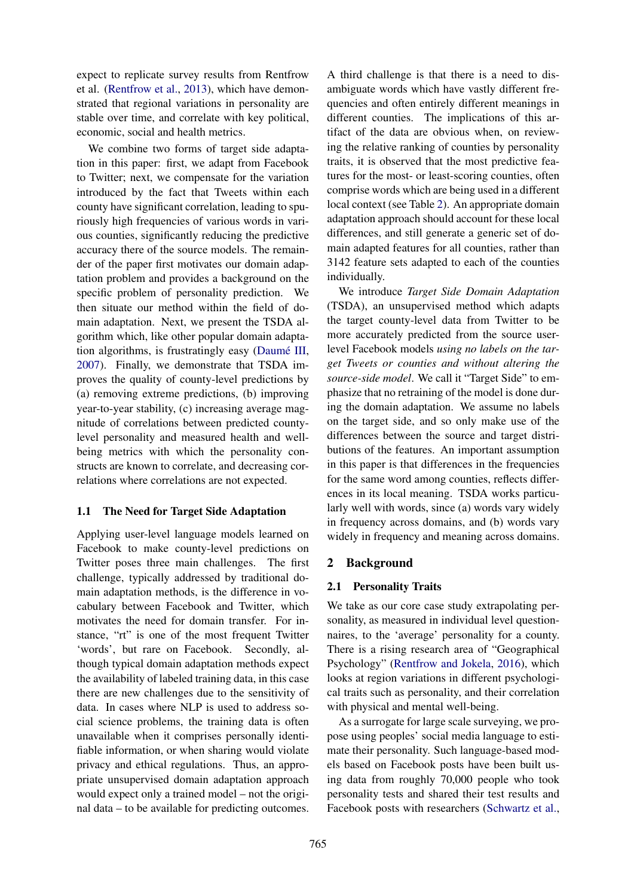expect to replicate survey results from Rentfrow et al. (Rentfrow et al., 2013), which have demonstrated that regional variations in personality are stable over time, and correlate with key political, economic, social and health metrics.

We combine two forms of target side adaptation in this paper: first, we adapt from Facebook to Twitter; next, we compensate for the variation introduced by the fact that Tweets within each county have significant correlation, leading to spuriously high frequencies of various words in various counties, significantly reducing the predictive accuracy there of the source models. The remainder of the paper first motivates our domain adaptation problem and provides a background on the specific problem of personality prediction. We then situate our method within the field of domain adaptation. Next, we present the TSDA algorithm which, like other popular domain adaptation algorithms, is frustratingly easy (Daumé III, 2007). Finally, we demonstrate that TSDA improves the quality of county-level predictions by (a) removing extreme predictions, (b) improving year-to-year stability, (c) increasing average magnitude of correlations between predicted countylevel personality and measured health and wellbeing metrics with which the personality constructs are known to correlate, and decreasing correlations where correlations are not expected.

### 1.1 The Need for Target Side Adaptation

Applying user-level language models learned on Facebook to make county-level predictions on Twitter poses three main challenges. The first challenge, typically addressed by traditional domain adaptation methods, is the difference in vocabulary between Facebook and Twitter, which motivates the need for domain transfer. For instance, "rt" is one of the most frequent Twitter 'words', but rare on Facebook. Secondly, although typical domain adaptation methods expect the availability of labeled training data, in this case there are new challenges due to the sensitivity of data. In cases where NLP is used to address social science problems, the training data is often unavailable when it comprises personally identifiable information, or when sharing would violate privacy and ethical regulations. Thus, an appropriate unsupervised domain adaptation approach would expect only a trained model – not the original data – to be available for predicting outcomes.

A third challenge is that there is a need to disambiguate words which have vastly different frequencies and often entirely different meanings in different counties. The implications of this artifact of the data are obvious when, on reviewing the relative ranking of counties by personality traits, it is observed that the most predictive features for the most- or least-scoring counties, often comprise words which are being used in a different local context (see Table 2). An appropriate domain adaptation approach should account for these local differences, and still generate a generic set of domain adapted features for all counties, rather than 3142 feature sets adapted to each of the counties individually.

We introduce *Target Side Domain Adaptation* (TSDA), an unsupervised method which adapts the target county-level data from Twitter to be more accurately predicted from the source userlevel Facebook models *using no labels on the target Tweets or counties and without altering the source-side model*. We call it "Target Side" to emphasize that no retraining of the model is done during the domain adaptation. We assume no labels on the target side, and so only make use of the differences between the source and target distributions of the features. An important assumption in this paper is that differences in the frequencies for the same word among counties, reflects differences in its local meaning. TSDA works particularly well with words, since (a) words vary widely in frequency across domains, and (b) words vary widely in frequency and meaning across domains.

### 2 Background

### 2.1 Personality Traits

We take as our core case study extrapolating personality, as measured in individual level questionnaires, to the 'average' personality for a county. There is a rising research area of "Geographical Psychology" (Rentfrow and Jokela, 2016), which looks at region variations in different psychological traits such as personality, and their correlation with physical and mental well-being.

As a surrogate for large scale surveying, we propose using peoples' social media language to estimate their personality. Such language-based models based on Facebook posts have been built using data from roughly 70,000 people who took personality tests and shared their test results and Facebook posts with researchers (Schwartz et al.,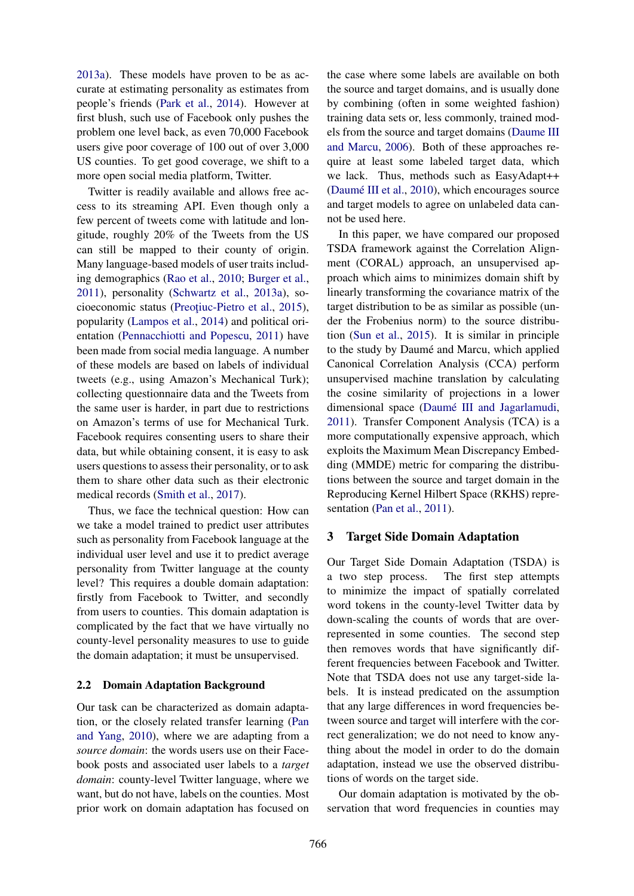2013a). These models have proven to be as accurate at estimating personality as estimates from people's friends (Park et al., 2014). However at first blush, such use of Facebook only pushes the problem one level back, as even 70,000 Facebook users give poor coverage of 100 out of over 3,000 US counties. To get good coverage, we shift to a more open social media platform, Twitter.

Twitter is readily available and allows free access to its streaming API. Even though only a few percent of tweets come with latitude and longitude, roughly 20% of the Tweets from the US can still be mapped to their county of origin. Many language-based models of user traits including demographics (Rao et al., 2010; Burger et al., 2011), personality (Schwartz et al., 2013a), socioeconomic status (Preoțiuc-Pietro et al., 2015), popularity (Lampos et al., 2014) and political orientation (Pennacchiotti and Popescu, 2011) have been made from social media language. A number of these models are based on labels of individual tweets (e.g., using Amazon's Mechanical Turk); collecting questionnaire data and the Tweets from the same user is harder, in part due to restrictions on Amazon's terms of use for Mechanical Turk. Facebook requires consenting users to share their data, but while obtaining consent, it is easy to ask users questions to assess their personality, or to ask them to share other data such as their electronic medical records (Smith et al., 2017).

Thus, we face the technical question: How can we take a model trained to predict user attributes such as personality from Facebook language at the individual user level and use it to predict average personality from Twitter language at the county level? This requires a double domain adaptation: firstly from Facebook to Twitter, and secondly from users to counties. This domain adaptation is complicated by the fact that we have virtually no county-level personality measures to use to guide the domain adaptation; it must be unsupervised.

#### 2.2 Domain Adaptation Background

Our task can be characterized as domain adaptation, or the closely related transfer learning (Pan and Yang, 2010), where we are adapting from a *source domain*: the words users use on their Facebook posts and associated user labels to a *target domain*: county-level Twitter language, where we want, but do not have, labels on the counties. Most prior work on domain adaptation has focused on the case where some labels are available on both the source and target domains, and is usually done by combining (often in some weighted fashion) training data sets or, less commonly, trained models from the source and target domains (Daume III and Marcu, 2006). Both of these approaches require at least some labeled target data, which we lack. Thus, methods such as EasyAdapt++ (Daumé III et al.,  $2010$ ), which encourages source and target models to agree on unlabeled data cannot be used here.

In this paper, we have compared our proposed TSDA framework against the Correlation Alignment (CORAL) approach, an unsupervised approach which aims to minimizes domain shift by linearly transforming the covariance matrix of the target distribution to be as similar as possible (under the Frobenius norm) to the source distribution (Sun et al., 2015). It is similar in principle to the study by Daumé and Marcu, which applied Canonical Correlation Analysis (CCA) perform unsupervised machine translation by calculating the cosine similarity of projections in a lower dimensional space (Daumé III and Jagarlamudi, 2011). Transfer Component Analysis (TCA) is a more computationally expensive approach, which exploits the Maximum Mean Discrepancy Embedding (MMDE) metric for comparing the distributions between the source and target domain in the Reproducing Kernel Hilbert Space (RKHS) representation (Pan et al., 2011).

### 3 Target Side Domain Adaptation

Our Target Side Domain Adaptation (TSDA) is a two step process. The first step attempts to minimize the impact of spatially correlated word tokens in the county-level Twitter data by down-scaling the counts of words that are overrepresented in some counties. The second step then removes words that have significantly different frequencies between Facebook and Twitter. Note that TSDA does not use any target-side labels. It is instead predicated on the assumption that any large differences in word frequencies between source and target will interfere with the correct generalization; we do not need to know anything about the model in order to do the domain adaptation, instead we use the observed distributions of words on the target side.

Our domain adaptation is motivated by the observation that word frequencies in counties may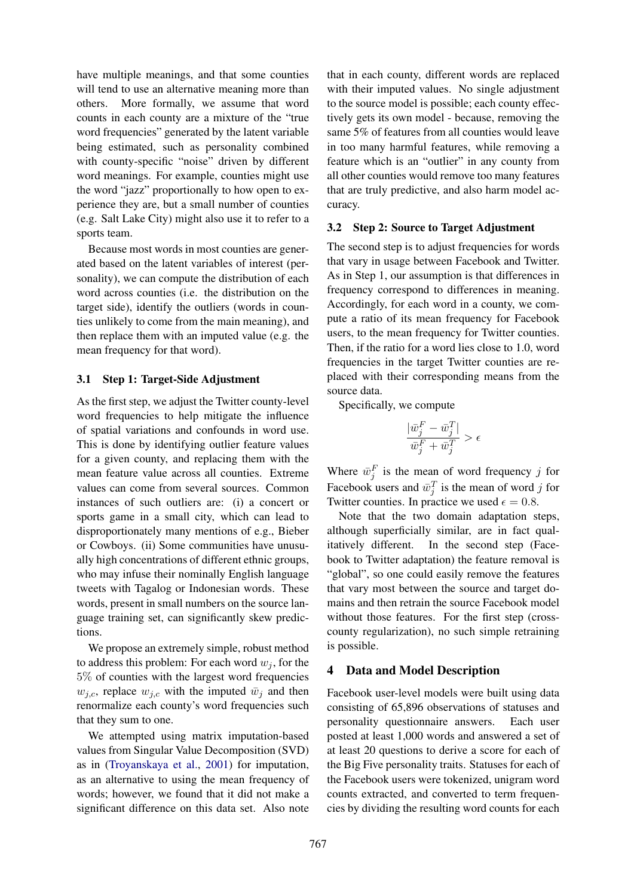have multiple meanings, and that some counties will tend to use an alternative meaning more than others. More formally, we assume that word counts in each county are a mixture of the "true word frequencies" generated by the latent variable being estimated, such as personality combined with county-specific "noise" driven by different word meanings. For example, counties might use the word "jazz" proportionally to how open to experience they are, but a small number of counties (e.g. Salt Lake City) might also use it to refer to a sports team.

Because most words in most counties are generated based on the latent variables of interest (personality), we can compute the distribution of each word across counties (i.e. the distribution on the target side), identify the outliers (words in counties unlikely to come from the main meaning), and then replace them with an imputed value (e.g. the mean frequency for that word).

### 3.1 Step 1: Target-Side Adjustment

As the first step, we adjust the Twitter county-level word frequencies to help mitigate the influence of spatial variations and confounds in word use. This is done by identifying outlier feature values for a given county, and replacing them with the mean feature value across all counties. Extreme values can come from several sources. Common instances of such outliers are: (i) a concert or sports game in a small city, which can lead to disproportionately many mentions of e.g., Bieber or Cowboys. (ii) Some communities have unusually high concentrations of different ethnic groups, who may infuse their nominally English language tweets with Tagalog or Indonesian words. These words, present in small numbers on the source language training set, can significantly skew predictions.

We propose an extremely simple, robust method to address this problem: For each word  $w_i$ , for the 5% of counties with the largest word frequencies  $w_{j,c}$ , replace  $w_{j,c}$  with the imputed  $\bar{w}_j$  and then renormalize each county's word frequencies such that they sum to one.

We attempted using matrix imputation-based values from Singular Value Decomposition (SVD) as in (Troyanskaya et al., 2001) for imputation, as an alternative to using the mean frequency of words; however, we found that it did not make a significant difference on this data set. Also note

that in each county, different words are replaced with their imputed values. No single adjustment to the source model is possible; each county effectively gets its own model - because, removing the same 5% of features from all counties would leave in too many harmful features, while removing a feature which is an "outlier" in any county from all other counties would remove too many features that are truly predictive, and also harm model accuracy.

### 3.2 Step 2: Source to Target Adjustment

The second step is to adjust frequencies for words that vary in usage between Facebook and Twitter. As in Step 1, our assumption is that differences in frequency correspond to differences in meaning. Accordingly, for each word in a county, we compute a ratio of its mean frequency for Facebook users, to the mean frequency for Twitter counties. Then, if the ratio for a word lies close to 1.0, word frequencies in the target Twitter counties are replaced with their corresponding means from the source data.

Specifically, we compute

$$
\frac{|\bar{w}_j^F - \bar{w}_j^T|}{\bar{w}_j^F + \bar{w}_j^T} > \epsilon
$$

Where  $\bar{w}_j^F$  is the mean of word frequency j for Facebook users and  $\bar{w}_j^T$  is the mean of word j for Twitter counties. In practice we used  $\epsilon = 0.8$ .

Note that the two domain adaptation steps, although superficially similar, are in fact qualitatively different. In the second step (Facebook to Twitter adaptation) the feature removal is "global", so one could easily remove the features that vary most between the source and target domains and then retrain the source Facebook model without those features. For the first step (crosscounty regularization), no such simple retraining is possible.

### 4 Data and Model Description

Facebook user-level models were built using data consisting of 65,896 observations of statuses and personality questionnaire answers. Each user posted at least 1,000 words and answered a set of at least 20 questions to derive a score for each of the Big Five personality traits. Statuses for each of the Facebook users were tokenized, unigram word counts extracted, and converted to term frequencies by dividing the resulting word counts for each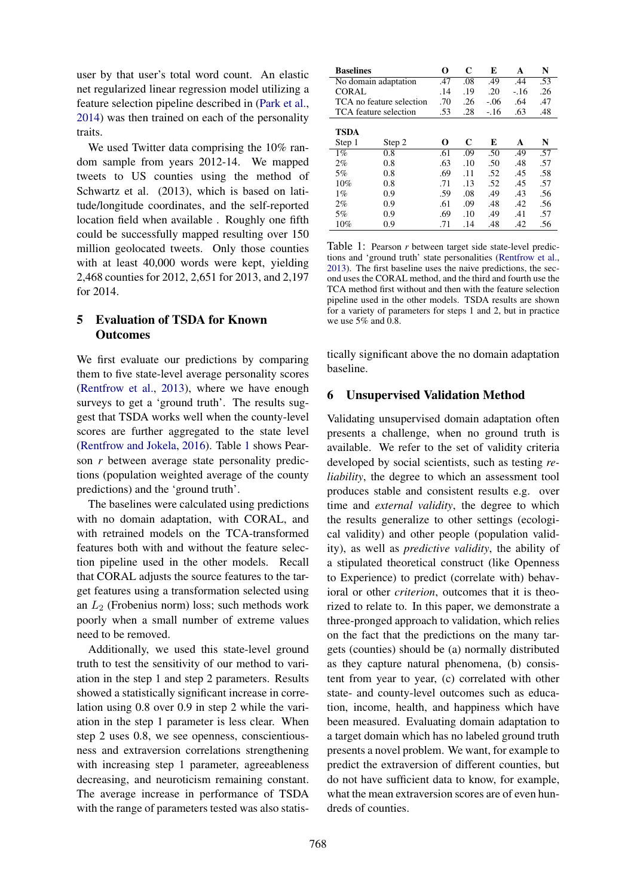user by that user's total word count. An elastic net regularized linear regression model utilizing a feature selection pipeline described in (Park et al., 2014) was then trained on each of the personality traits.

We used Twitter data comprising the 10% random sample from years 2012-14. We mapped tweets to US counties using the method of Schwartz et al. (2013), which is based on latitude/longitude coordinates, and the self-reported location field when available . Roughly one fifth could be successfully mapped resulting over 150 million geolocated tweets. Only those counties with at least 40,000 words were kept, yielding 2,468 counties for 2012, 2,651 for 2013, and 2,197 for 2014.

# 5 Evaluation of TSDA for Known **Outcomes**

We first evaluate our predictions by comparing them to five state-level average personality scores (Rentfrow et al., 2013), where we have enough surveys to get a 'ground truth'. The results suggest that TSDA works well when the county-level scores are further aggregated to the state level (Rentfrow and Jokela, 2016). Table 1 shows Pearson *r* between average state personality predictions (population weighted average of the county predictions) and the 'ground truth'.

The baselines were calculated using predictions with no domain adaptation, with CORAL, and with retrained models on the TCA-transformed features both with and without the feature selection pipeline used in the other models. Recall that CORAL adjusts the source features to the target features using a transformation selected using an  $L_2$  (Frobenius norm) loss; such methods work poorly when a small number of extreme values need to be removed.

Additionally, we used this state-level ground truth to test the sensitivity of our method to variation in the step 1 and step 2 parameters. Results showed a statistically significant increase in correlation using 0.8 over 0.9 in step 2 while the variation in the step 1 parameter is less clear. When step 2 uses 0.8, we see openness, conscientiousness and extraversion correlations strengthening with increasing step 1 parameter, agreeableness decreasing, and neuroticism remaining constant. The average increase in performance of TSDA with the range of parameters tested was also statis-

| <b>Baselines</b>      |                          | O   | C   | E      | A     | N   |
|-----------------------|--------------------------|-----|-----|--------|-------|-----|
| No domain adaptation  |                          | .47 | .08 | .49    | .44   | .53 |
| CORAL                 |                          | .14 | .19 | .20    | $-16$ | .26 |
|                       | TCA no feature selection | .70 | .26 | $-.06$ | .64   | .47 |
| TCA feature selection |                          | .53 | .28 | $-.16$ | .63   | .48 |
|                       |                          |     |     |        |       |     |
| <b>TSDA</b>           |                          |     |     |        |       |     |
| Step 1                | Step 2                   | O   | C   | E      | A     | N   |
| $1\%$                 | 0.8                      | .61 | .09 | .50    | .49   | .57 |
| 2%                    | 0.8                      | .63 | .10 | .50    | .48   | .57 |
| 5%                    | 0.8                      | .69 | .11 | .52    | .45   | .58 |
| 10%                   | 0.8                      | .71 | .13 | .52    | .45   | .57 |
| $1\%$                 | 0.9                      | .59 | .08 | .49    | .43   | .56 |
| 2%                    | 0.9                      | .61 | .09 | .48    | .42   | .56 |
| 5%                    | 0.9                      | .69 | .10 | .49    | .41   | .57 |
| 10%                   | 0.9                      | .71 | .14 | .48    | .42   | .56 |

Table 1: Pearson *r* between target side state-level predictions and 'ground truth' state personalities (Rentfrow et al., 2013). The first baseline uses the naive predictions, the second uses the CORAL method, and the third and fourth use the TCA method first without and then with the feature selection pipeline used in the other models. TSDA results are shown for a variety of parameters for steps 1 and 2, but in practice we use  $5\%$  and  $0.8$ .

tically significant above the no domain adaptation baseline.

## 6 Unsupervised Validation Method

Validating unsupervised domain adaptation often presents a challenge, when no ground truth is available. We refer to the set of validity criteria developed by social scientists, such as testing *reliability*, the degree to which an assessment tool produces stable and consistent results e.g. over time and *external validity*, the degree to which the results generalize to other settings (ecological validity) and other people (population validity), as well as *predictive validity*, the ability of a stipulated theoretical construct (like Openness to Experience) to predict (correlate with) behavioral or other *criterion*, outcomes that it is theorized to relate to. In this paper, we demonstrate a three-pronged approach to validation, which relies on the fact that the predictions on the many targets (counties) should be (a) normally distributed as they capture natural phenomena, (b) consistent from year to year, (c) correlated with other state- and county-level outcomes such as education, income, health, and happiness which have been measured. Evaluating domain adaptation to a target domain which has no labeled ground truth presents a novel problem. We want, for example to predict the extraversion of different counties, but do not have sufficient data to know, for example, what the mean extraversion scores are of even hundreds of counties.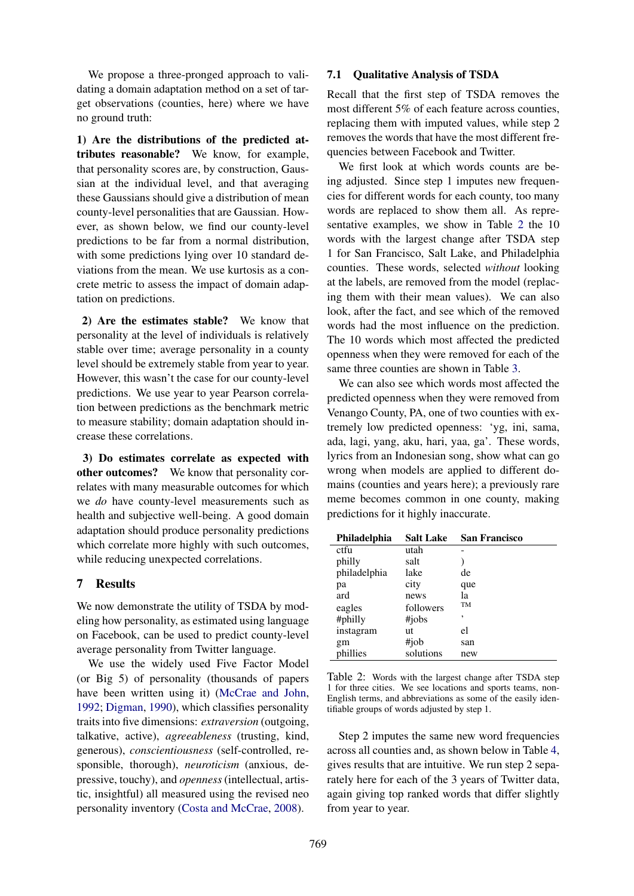We propose a three-pronged approach to validating a domain adaptation method on a set of target observations (counties, here) where we have no ground truth:

1) Are the distributions of the predicted attributes reasonable? We know, for example, that personality scores are, by construction, Gaussian at the individual level, and that averaging these Gaussians should give a distribution of mean county-level personalities that are Gaussian. However, as shown below, we find our county-level predictions to be far from a normal distribution, with some predictions lying over 10 standard deviations from the mean. We use kurtosis as a concrete metric to assess the impact of domain adaptation on predictions.

2) Are the estimates stable? We know that personality at the level of individuals is relatively stable over time; average personality in a county level should be extremely stable from year to year. However, this wasn't the case for our county-level predictions. We use year to year Pearson correlation between predictions as the benchmark metric to measure stability; domain adaptation should increase these correlations.

3) Do estimates correlate as expected with other outcomes? We know that personality correlates with many measurable outcomes for which we *do* have county-level measurements such as health and subjective well-being. A good domain adaptation should produce personality predictions which correlate more highly with such outcomes, while reducing unexpected correlations.

### 7 Results

We now demonstrate the utility of TSDA by modeling how personality, as estimated using language on Facebook, can be used to predict county-level average personality from Twitter language.

We use the widely used Five Factor Model (or Big 5) of personality (thousands of papers have been written using it) (McCrae and John, 1992; Digman, 1990), which classifies personality traits into five dimensions: *extraversion* (outgoing, talkative, active), *agreeableness* (trusting, kind, generous), *conscientiousness* (self-controlled, responsible, thorough), *neuroticism* (anxious, depressive, touchy), and *openness* (intellectual, artistic, insightful) all measured using the revised neo personality inventory (Costa and McCrae, 2008).

### 7.1 Qualitative Analysis of TSDA

Recall that the first step of TSDA removes the most different 5% of each feature across counties, replacing them with imputed values, while step 2 removes the words that have the most different frequencies between Facebook and Twitter.

We first look at which words counts are being adjusted. Since step 1 imputes new frequencies for different words for each county, too many words are replaced to show them all. As representative examples, we show in Table 2 the 10 words with the largest change after TSDA step 1 for San Francisco, Salt Lake, and Philadelphia counties. These words, selected *without* looking at the labels, are removed from the model (replacing them with their mean values). We can also look, after the fact, and see which of the removed words had the most influence on the prediction. The 10 words which most affected the predicted openness when they were removed for each of the same three counties are shown in Table 3.

We can also see which words most affected the predicted openness when they were removed from Venango County, PA, one of two counties with extremely low predicted openness: 'yg, ini, sama, ada, lagi, yang, aku, hari, yaa, ga'. These words, lyrics from an Indonesian song, show what can go wrong when models are applied to different domains (counties and years here); a previously rare meme becomes common in one county, making predictions for it highly inaccurate.

| Philadelphia | <b>Salt Lake</b> | <b>San Francisco</b> |
|--------------|------------------|----------------------|
| ctfu         | utah             |                      |
| philly       | salt             |                      |
| philadelphia | lake             | de                   |
| pa           | city             | que                  |
| ard          | news             | la                   |
| eagles       | followers        | <b>TM</b>            |
| #philly      | #jobs            | ,                    |
| instagram    | ut               | el                   |
| gm           | #job             | san                  |
| phillies     | solutions        | new                  |

Table 2: Words with the largest change after TSDA step 1 for three cities. We see locations and sports teams, non-English terms, and abbreviations as some of the easily identifiable groups of words adjusted by step 1.

Step 2 imputes the same new word frequencies across all counties and, as shown below in Table 4, gives results that are intuitive. We run step 2 separately here for each of the 3 years of Twitter data, again giving top ranked words that differ slightly from year to year.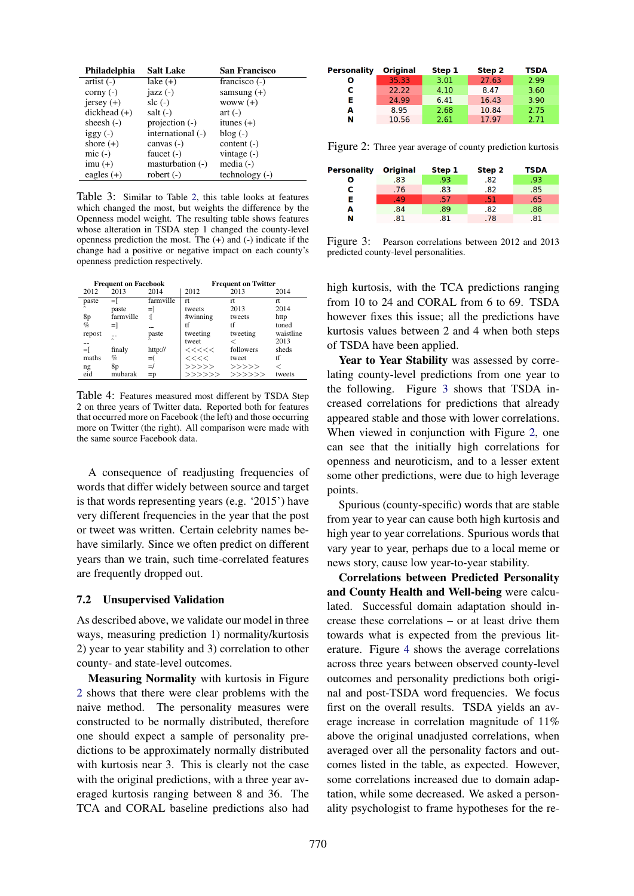| Philadelphia           | <b>Salt Lake</b>  | <b>San Francisco</b> |
|------------------------|-------------------|----------------------|
| $artist(-)$            | lake $(+)$        | francisco $(-)$      |
| corny $(-)$            | $j$ azz $(-)$     | samsung $(+)$        |
| $jersey (+)$           | slc $(-)$         | woww $(+)$           |
| $\text{dickhead } (+)$ | salt $(-)$        | $art(-)$             |
| sheesh $(-)$           | projection $(-)$  | itunes $(+)$         |
| $iggy(-)$              | international (-) | $blog(-)$            |
| shore $(+)$            | canvas $(-)$      | content $(-)$        |
| $mic(-)$               | faucet $(-)$      | vintage $(-)$        |
| $imu (+)$              | masturbation (-)  | media $(-)$          |
| eagles $(+)$           | robert $(-)$      | $technology(-)$      |

Table 3: Similar to Table 2, this table looks at features which changed the most, but weights the difference by the Openness model weight. The resulting table shows features whose alteration in TSDA step 1 changed the county-level openness prediction the most. The (+) and (-) indicate if the change had a positive or negative impact on each county's openness prediction respectively.

| <b>Frequent on Facebook</b> |            |           | <b>Frequent on Twitter</b> |           |           |  |
|-----------------------------|------------|-----------|----------------------------|-----------|-----------|--|
| 2012                        | 2013       | 2014      | 2012                       | 2013      | 2014      |  |
| paste                       | $=$ $\Box$ | farmville | rt                         | rt        | rt        |  |
|                             | paste      | =1        | tweets                     | 2013      | 2014      |  |
| 8p                          | farmville  | :ſ        | #winning                   | tweets    | http      |  |
| $\%$                        | $=$        |           | tf                         | tf        | toned     |  |
| repost                      |            | paste     | tweeting                   | tweeting  | waistline |  |
| --                          |            |           | tweet                      | ✓         | 2013      |  |
| =ſ                          | finaly     | http://   | <<<<                       | followers | sheds     |  |
| maths                       | %          | $= ($     | <<<<                       | tweet     | tf        |  |
| ng                          | 8p         | $=$ /     | >>>>>                      | >>>>>     | <         |  |
| eid                         | mubarak    | $=$ p     | >>>>>>                     | >>>>>>    | tweets    |  |

Table 4: Features measured most different by TSDA Step 2 on three years of Twitter data. Reported both for features that occurred more on Facebook (the left) and those occurring more on Twitter (the right). All comparison were made with the same source Facebook data.

A consequence of readjusting frequencies of words that differ widely between source and target is that words representing years (e.g. '2015') have very different frequencies in the year that the post or tweet was written. Certain celebrity names behave similarly. Since we often predict on different years than we train, such time-correlated features are frequently dropped out.

#### 7.2 Unsupervised Validation

As described above, we validate our model in three ways, measuring prediction 1) normality/kurtosis 2) year to year stability and 3) correlation to other county- and state-level outcomes.

Measuring Normality with kurtosis in Figure 2 shows that there were clear problems with the naive method. The personality measures were constructed to be normally distributed, therefore one should expect a sample of personality predictions to be approximately normally distributed with kurtosis near 3. This is clearly not the case with the original predictions, with a three year averaged kurtosis ranging between 8 and 36. The TCA and CORAL baseline predictions also had

| Personality | <b>Original</b> | Step 1 | Step 2 | <b>TSDA</b> |
|-------------|-----------------|--------|--------|-------------|
| ο           | 35.33           | 3.01   | 27.63  | 2.99        |
| с           | 22.22           | 4.10   | 8.47   | 3.60        |
| Е           | 24.99           | 6.41   | 16.43  | 3.90        |
| A           | 8.95            | 2.68   | 10.84  | 2.75        |
| N           | 10.56           | 2.61   | 17.97  | 2.71        |

Figure 2: Three year average of county prediction kurtosis

| <b>Personality</b> | <b>Original</b> | Step 1 | Step 2 | <b>TSDA</b> |
|--------------------|-----------------|--------|--------|-------------|
| Ω                  | .83             | .93    | .82    | .93         |
| с                  | .76             | .83    | .82    | .85         |
| Е                  | (49)            | .57    | .51    | .65         |
| A                  | .84             | .89    | .82    | .88         |
| N                  | .81             | .81    | .78    | .81         |

Figure 3: Pearson correlations between 2012 and 2013 predicted county-level personalities.

high kurtosis, with the TCA predictions ranging from 10 to 24 and CORAL from 6 to 69. TSDA however fixes this issue; all the predictions have kurtosis values between 2 and 4 when both steps of TSDA have been applied.

Year to Year Stability was assessed by correlating county-level predictions from one year to the following. Figure 3 shows that TSDA increased correlations for predictions that already appeared stable and those with lower correlations. When viewed in conjunction with Figure 2, one can see that the initially high correlations for openness and neuroticism, and to a lesser extent some other predictions, were due to high leverage points.

Spurious (county-specific) words that are stable from year to year can cause both high kurtosis and high year to year correlations. Spurious words that vary year to year, perhaps due to a local meme or news story, cause low year-to-year stability.

Correlations between Predicted Personality and County Health and Well-being were calculated. Successful domain adaptation should increase these correlations – or at least drive them towards what is expected from the previous literature. Figure 4 shows the average correlations across three years between observed county-level outcomes and personality predictions both original and post-TSDA word frequencies. We focus first on the overall results. TSDA yields an average increase in correlation magnitude of 11% above the original unadjusted correlations, when averaged over all the personality factors and outcomes listed in the table, as expected. However, some correlations increased due to domain adaptation, while some decreased. We asked a personality psychologist to frame hypotheses for the re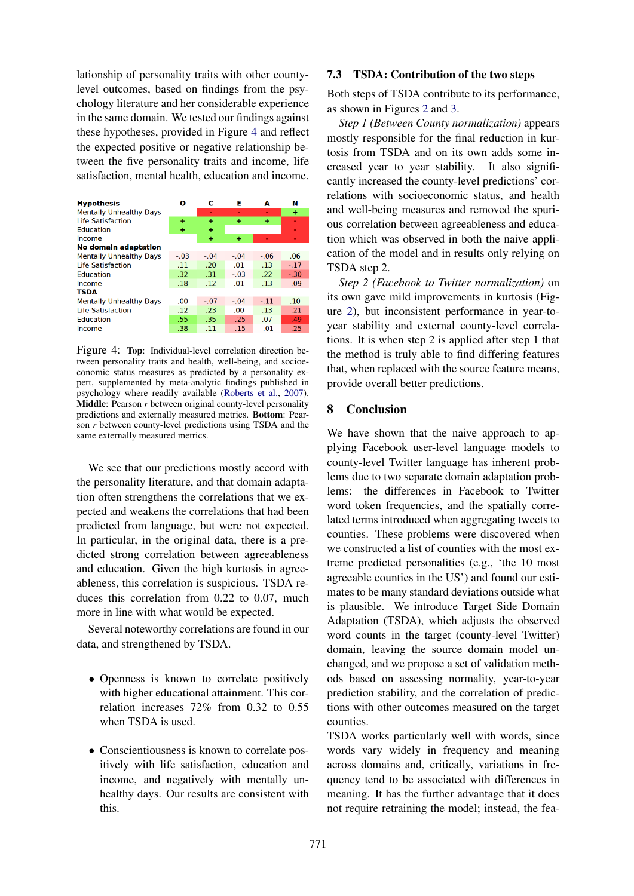lationship of personality traits with other countylevel outcomes, based on findings from the psychology literature and her considerable experience in the same domain. We tested our findings against these hypotheses, provided in Figure 4 and reflect the expected positive or negative relationship between the five personality traits and income, life satisfaction, mental health, education and income.

| <b>Hypothesis</b>              | ο      | c      | Е      | A      | Ν      |
|--------------------------------|--------|--------|--------|--------|--------|
| <b>Mentally Unhealthy Days</b> |        | ۰      | ۰      | ۰      | ÷      |
| <b>Life Satisfaction</b>       | 4      | ÷      | ÷      | ÷      |        |
| Education                      | ÷      | ÷      |        |        |        |
| Income                         |        | ÷      | ÷      |        |        |
| <b>No domain adaptation</b>    |        |        |        |        |        |
| <b>Mentally Unhealthy Days</b> | $-.03$ | $-.04$ | $-.04$ | $-.06$ | .06    |
| <b>Life Satisfaction</b>       | .11    | .20    | .01    | .13    | $-.17$ |
| <b>Education</b>               | .32    | .31    | $-.03$ | .22    | $-.30$ |
| Income                         | .18    | .12    | .01    | .13    | $-.09$ |
| <b>TSDA</b>                    |        |        |        |        |        |
| <b>Mentally Unhealthy Days</b> | .00.   | $-.07$ | $-.04$ | $-11$  | .10    |
| <b>Life Satisfaction</b>       | .12    | .23    | .00    | .13    | $-.21$ |
| Education                      | .55    | .35    | $-.25$ | .07    | $-.49$ |
| Income                         | .38    | .11    | $-.15$ | $-.01$ | $-.25$ |

Figure 4: Top: Individual-level correlation direction between personality traits and health, well-being, and socioeconomic status measures as predicted by a personality expert, supplemented by meta-analytic findings published in psychology where readily available (Roberts et al., 2007). Middle: Pearson *r* between original county-level personality predictions and externally measured metrics. Bottom: Pearson *r* between county-level predictions using TSDA and the same externally measured metrics.

We see that our predictions mostly accord with the personality literature, and that domain adaptation often strengthens the correlations that we expected and weakens the correlations that had been predicted from language, but were not expected. In particular, in the original data, there is a predicted strong correlation between agreeableness and education. Given the high kurtosis in agreeableness, this correlation is suspicious. TSDA reduces this correlation from 0.22 to 0.07, much more in line with what would be expected.

Several noteworthy correlations are found in our data, and strengthened by TSDA.

- Openness is known to correlate positively with higher educational attainment. This correlation increases 72% from 0.32 to 0.55 when TSDA is used.
- Conscientiousness is known to correlate positively with life satisfaction, education and income, and negatively with mentally unhealthy days. Our results are consistent with this.

#### 7.3 TSDA: Contribution of the two steps

Both steps of TSDA contribute to its performance, as shown in Figures 2 and 3.

*Step 1 (Between County normalization)* appears mostly responsible for the final reduction in kurtosis from TSDA and on its own adds some increased year to year stability. It also significantly increased the county-level predictions' correlations with socioeconomic status, and health and well-being measures and removed the spurious correlation between agreeableness and education which was observed in both the naive application of the model and in results only relying on TSDA step 2.

*Step 2 (Facebook to Twitter normalization)* on its own gave mild improvements in kurtosis (Figure 2), but inconsistent performance in year-toyear stability and external county-level correlations. It is when step 2 is applied after step 1 that the method is truly able to find differing features that, when replaced with the source feature means, provide overall better predictions.

#### 8 Conclusion

We have shown that the naive approach to applying Facebook user-level language models to county-level Twitter language has inherent problems due to two separate domain adaptation problems: the differences in Facebook to Twitter word token frequencies, and the spatially correlated terms introduced when aggregating tweets to counties. These problems were discovered when we constructed a list of counties with the most extreme predicted personalities (e.g., 'the 10 most agreeable counties in the US') and found our estimates to be many standard deviations outside what is plausible. We introduce Target Side Domain Adaptation (TSDA), which adjusts the observed word counts in the target (county-level Twitter) domain, leaving the source domain model unchanged, and we propose a set of validation methods based on assessing normality, year-to-year prediction stability, and the correlation of predictions with other outcomes measured on the target counties.

TSDA works particularly well with words, since words vary widely in frequency and meaning across domains and, critically, variations in frequency tend to be associated with differences in meaning. It has the further advantage that it does not require retraining the model; instead, the fea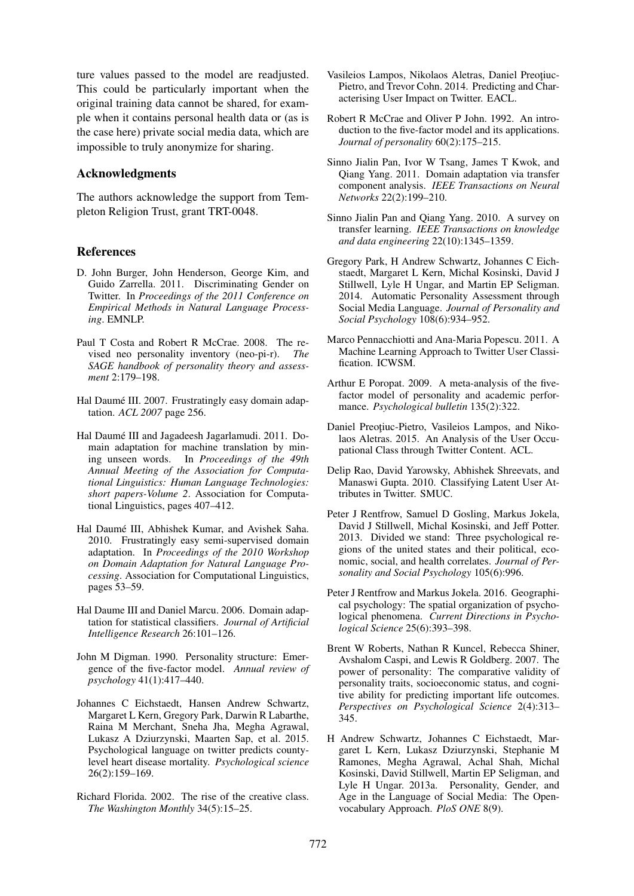ture values passed to the model are readjusted. This could be particularly important when the original training data cannot be shared, for example when it contains personal health data or (as is the case here) private social media data, which are impossible to truly anonymize for sharing.

# Acknowledgments

The authors acknowledge the support from Templeton Religion Trust, grant TRT-0048.

### References

- D. John Burger, John Henderson, George Kim, and Guido Zarrella. 2011. Discriminating Gender on Twitter. In *Proceedings of the 2011 Conference on Empirical Methods in Natural Language Processing*. EMNLP.
- Paul T Costa and Robert R McCrae. 2008. The revised neo personality inventory (neo-pi-r). *The SAGE handbook of personality theory and assessment* 2:179–198.
- Hal Daumé III. 2007. Frustratingly easy domain adaptation. *ACL 2007* page 256.
- Hal Daumé III and Jagadeesh Jagarlamudi. 2011. Domain adaptation for machine translation by mining unseen words. In *Proceedings of the 49th Annual Meeting of the Association for Computational Linguistics: Human Language Technologies: short papers-Volume 2*. Association for Computational Linguistics, pages 407–412.
- Hal Daumé III, Abhishek Kumar, and Avishek Saha. 2010. Frustratingly easy semi-supervised domain adaptation. In *Proceedings of the 2010 Workshop on Domain Adaptation for Natural Language Processing*. Association for Computational Linguistics, pages 53–59.
- Hal Daume III and Daniel Marcu. 2006. Domain adaptation for statistical classifiers. *Journal of Artificial Intelligence Research* 26:101–126.
- John M Digman. 1990. Personality structure: Emergence of the five-factor model. *Annual review of psychology* 41(1):417–440.
- Johannes C Eichstaedt, Hansen Andrew Schwartz, Margaret L Kern, Gregory Park, Darwin R Labarthe, Raina M Merchant, Sneha Jha, Megha Agrawal, Lukasz A Dziurzynski, Maarten Sap, et al. 2015. Psychological language on twitter predicts countylevel heart disease mortality. *Psychological science* 26(2):159–169.
- Richard Florida. 2002. The rise of the creative class. *The Washington Monthly* 34(5):15–25.
- Vasileios Lampos, Nikolaos Aletras, Daniel Preotiuc-Pietro, and Trevor Cohn. 2014. Predicting and Characterising User Impact on Twitter. EACL.
- Robert R McCrae and Oliver P John. 1992. An introduction to the five-factor model and its applications. *Journal of personality* 60(2):175–215.
- Sinno Jialin Pan, Ivor W Tsang, James T Kwok, and Qiang Yang. 2011. Domain adaptation via transfer component analysis. *IEEE Transactions on Neural Networks* 22(2):199–210.
- Sinno Jialin Pan and Qiang Yang. 2010. A survey on transfer learning. *IEEE Transactions on knowledge and data engineering* 22(10):1345–1359.
- Gregory Park, H Andrew Schwartz, Johannes C Eichstaedt, Margaret L Kern, Michal Kosinski, David J Stillwell, Lyle H Ungar, and Martin EP Seligman. 2014. Automatic Personality Assessment through Social Media Language. *Journal of Personality and Social Psychology* 108(6):934–952.
- Marco Pennacchiotti and Ana-Maria Popescu. 2011. A Machine Learning Approach to Twitter User Classification. ICWSM.
- Arthur E Poropat. 2009. A meta-analysis of the fivefactor model of personality and academic performance. *Psychological bulletin* 135(2):322.
- Daniel Preotiuc-Pietro, Vasileios Lampos, and Nikolaos Aletras. 2015. An Analysis of the User Occupational Class through Twitter Content. ACL.
- Delip Rao, David Yarowsky, Abhishek Shreevats, and Manaswi Gupta. 2010. Classifying Latent User Attributes in Twitter. SMUC.
- Peter J Rentfrow, Samuel D Gosling, Markus Jokela, David J Stillwell, Michal Kosinski, and Jeff Potter. 2013. Divided we stand: Three psychological regions of the united states and their political, economic, social, and health correlates. *Journal of Personality and Social Psychology* 105(6):996.
- Peter J Rentfrow and Markus Jokela. 2016. Geographical psychology: The spatial organization of psychological phenomena. *Current Directions in Psychological Science* 25(6):393–398.
- Brent W Roberts, Nathan R Kuncel, Rebecca Shiner, Avshalom Caspi, and Lewis R Goldberg. 2007. The power of personality: The comparative validity of personality traits, socioeconomic status, and cognitive ability for predicting important life outcomes. *Perspectives on Psychological Science* 2(4):313– 345.
- H Andrew Schwartz, Johannes C Eichstaedt, Margaret L Kern, Lukasz Dziurzynski, Stephanie M Ramones, Megha Agrawal, Achal Shah, Michal Kosinski, David Stillwell, Martin EP Seligman, and Lyle H Ungar. 2013a. Personality, Gender, and Age in the Language of Social Media: The Openvocabulary Approach. *PloS ONE* 8(9).